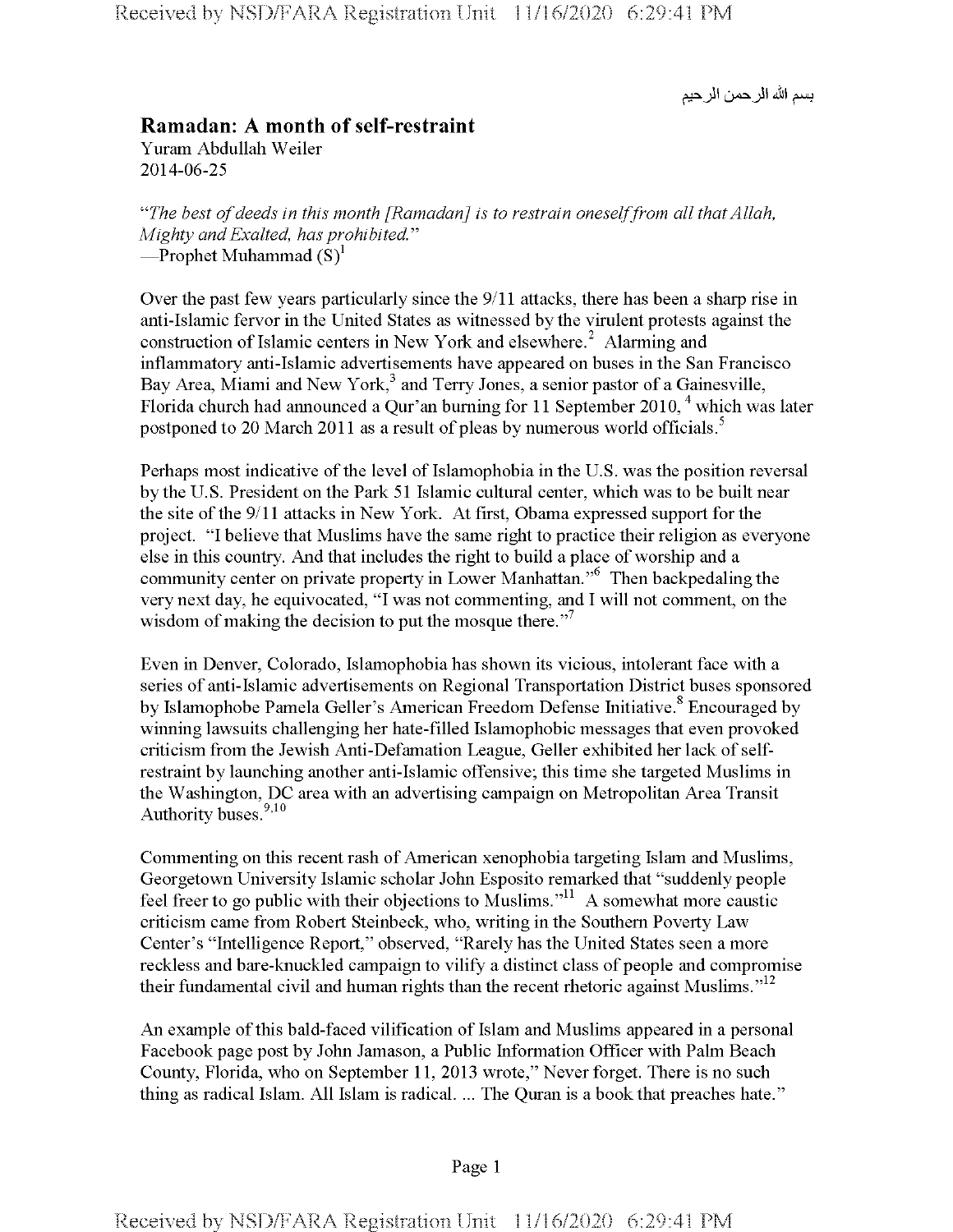بسم الله الر حمن الر حيم

## **Ramadan: A month of self-restraint** Yuram Abdullah Weiler 2014-06-25

*"The best ofdeeds in this month [Ramadan] is to restrain oneselffrom all thatAllah, Mighty andExalted, has prohibited*." —Prophet Muhammad  $(S)^1$ 

Over the past few years particularly since the 9/11 attacks, there has been a sharp rise in anti-Islamic fervor in the United States as witnessed by the virulent protests against the construction of Islamic centers in New York and elsewhere.<sup>2</sup> Alarming and inflammatory anti-Islamic advertisements have appeared on buses in the San Francisco Bay Area, Miami and New York, $3$  and Terry Jones, a senior pastor of a Gainesville, Florida church had announced a Qur'an burning for 11 September 2010,  $4$  which was later postponed to 20 March 2011 as a result of pleas by numerous world officials.<sup>5</sup>

Perhaps most indicative of the level of Islamophobia in the U.S. was the position reversal by the U.S. President on the Park 51 Islamic cultural center, which was to be built near the site of the 9/11 attacks in New York. At first, Obama expressed support for the project. "I believe that Muslims have the same right to practice their religion as everyone else in this country. And that includes the right to build a place of worship and a community center on private property in Lower Manhattan."6 Then backpedaling the very next day, he equivocated, "I was not commenting, and I will not comment, on the wisdom of making the decision to put the mosque there."<sup>7</sup>

Even in Denver, Colorado, Islamophobia has shown its vicious, intolerant face with a series of anti-Islamic advertisements on Regional Transportation District buses sponsored by Islamophobe Pamela Geller's American Freedom Defense Initiative.<sup>8</sup> Encouraged by winning lawsuits challenging her hate-filled Islamophobic messages that even provoked criticism from the Jewish Anti-Defamation League, Geller exhibited her lack ofselfrestraint by launching another anti-Islamic offensive; this time she targeted Muslims in the Washington, DC area with an advertising campaign on Metropolitan Area Transit Authority buses.<sup>9,10</sup>

Commenting on this recent rash of American xenophobia targeting Islam and Muslims, Georgetown University Islamic scholar John Esposito remarked that "suddenly people feel freer to go public with their objections to Muslims."<sup>11</sup> A somewhat more caustic criticism came from Robert Steinbeck, who, writing in the Southern Poverty Law Center's "Intelligence Report," observed, "Rarely has the United States seen a more reckless and bare-knuckled campaign to vilify a distinct class of people and compromise their fundamental civil and human rights than the recent rhetoric against Muslims." $12$ 

An example of this bald-faced vilification of Islam and Muslims appeared in a personal Facebook page post by John Jamason, a Public Information Officer with Palm Beach County, Florida, who on September 11, 2013 wrote," Never forget. There is no such thing as radical Islam. All Islam is radical. ... The Quran is a book that preaches hate."

## Page <sup>1</sup>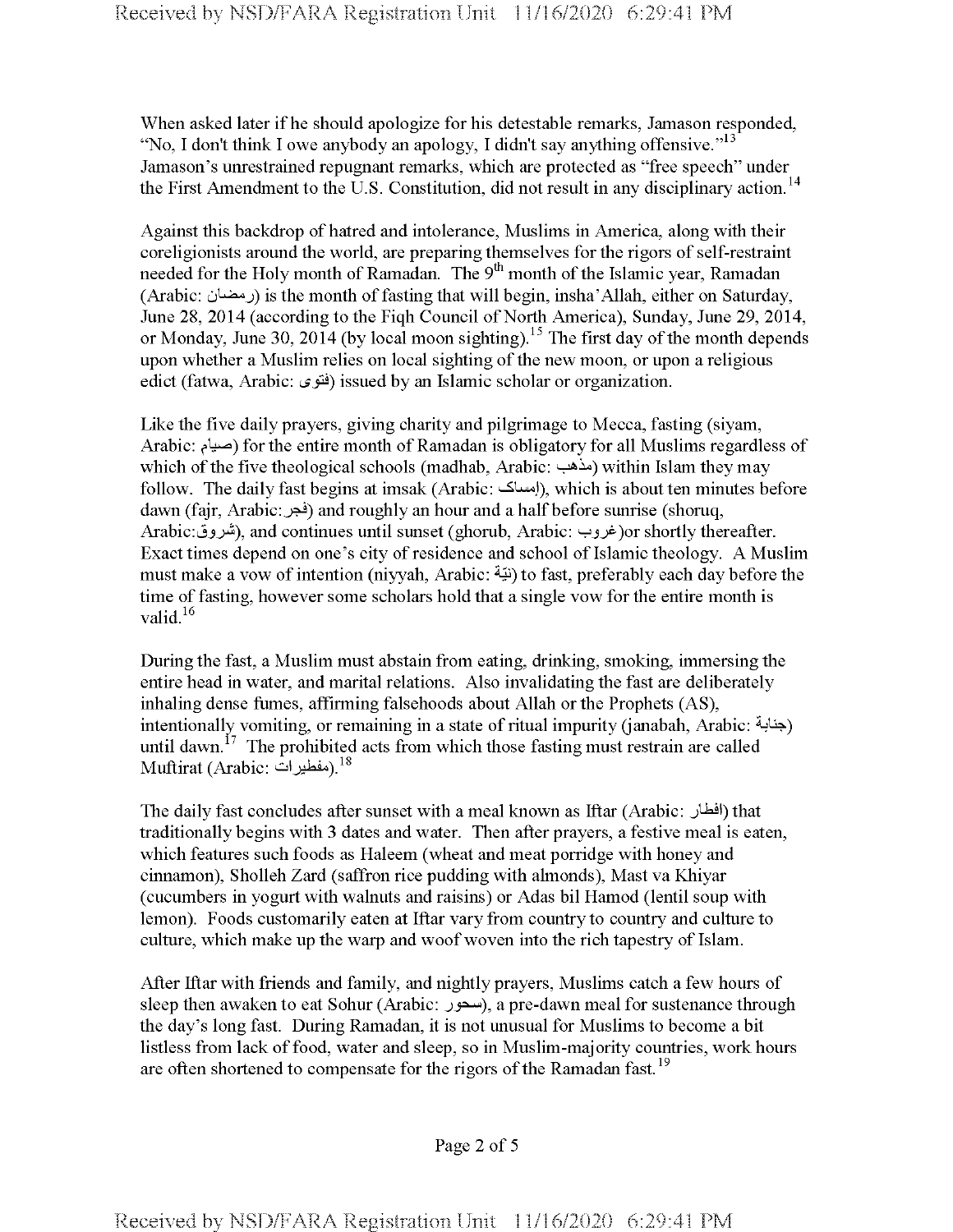When asked later if he should apologize for his detestable remarks, Jamason responded, "No, I don't think I owe anybody an apology, I didn't say anything offensive."<sup>13</sup> Jamason's unrestrained repugnant remarks, which are protected as "free speech" under the First Amendment to the U.S. Constitution, did not result in any disciplinary action.<sup>14</sup>

Against this backdrop of hatred and intolerance, Muslims in America, along with their coreligionists around the world, are preparing themselves for the rigors of self-restraint needed for the Holy month of Ramadan. The 9<sup>th</sup> month of the Islamic year, Ramadan (Arabic: دمضان) is the month of fasting that will begin, insha'Allah, either on Saturday, June 28, 2014 (according to the Fiqh Council of North America), Sunday, June 29, 2014, or Monday, June 30, 2014 (by local moon sighting).<sup>15</sup> The first day of the month depends upon whether a Muslim relies on local sighting of the new moon, or upon a religious edict (fatwa, Arabic: فَتُوى) issued by an Islamic scholar or organization.

Like the five daily prayers, giving charity and pilgrimage to Mecca, fasting (siyam, Arabic: ضبام) for the entire month of Ramadan is obligatory for all Muslims regardless of which of the five theological schools (madhab, Arabic: سأهب) within Islam they may follow. The daily fast begins at imsak (Arabic: إمساك), which is about ten minutes before dawn (fajr, Arabic: فجر) and roughly an hour and a half before sunrise (shoruq, Arabic: غروب), and continues until sunset (ghorub, Arabic: خروب)or shortly thereafter. Exact times depend on one's city of residence and school of Islamic theology. A Muslim must make a vow of intention (niyyah, Arabic: نتية) to fast, preferably each day before the time of fasting, however some scholars hold that a single vow for the entire month is valid.<sup>16</sup>

During the fast, a Muslim must abstain from eating, drinking, smoking, immersing the entire head in water, and marital relations. Also invalidating the fast are deliberately inhaling dense fumes, affirming falsehoods about Allah or the Prophets (AS), intentionally vomiting, or remaining in a state of ritual impurity (janabah, Arabic: جنابة) until dawn.<sup>17</sup> The prohibited acts from which those fasting must restrain are called Muftirat (Arabic: مفطيرات). $^{18}$ 

The daily fast concludes after sunset with a meal known as Iftar (Arabic: Jdail) that traditionally begins with 3 dates and water. Then after prayers, a festive meal is eaten, which features such foods as Haleem (wheat and meat porridge with honey and cinnamon), Sholleh Zard (saffron rice pudding with almonds), Mast va Khiyar (cucumbers in yogurt with walnuts and raisins) or Adas bil Hamod (lentil soup with lemon). Foods customarily eaten at Iftar vary from country to country and culture to culture, which make up the warp and woof woven into the rich tapestry of Islam.

After Iftar with friends and family, and nightly prayers, Muslims catch a few hours of sleep then awaken to eat Sohur (Arabic: a pre-dawn meal for sustenance through the day's long fast. During Ramadan, it is not unusual for Muslims to become a bit listless from lack offood, water and sleep, so in Muslim-majority countries, work hours are often shortened to compensate for the rigors of the Ramadan fast.<sup>19</sup>

Page 2 of <sup>5</sup>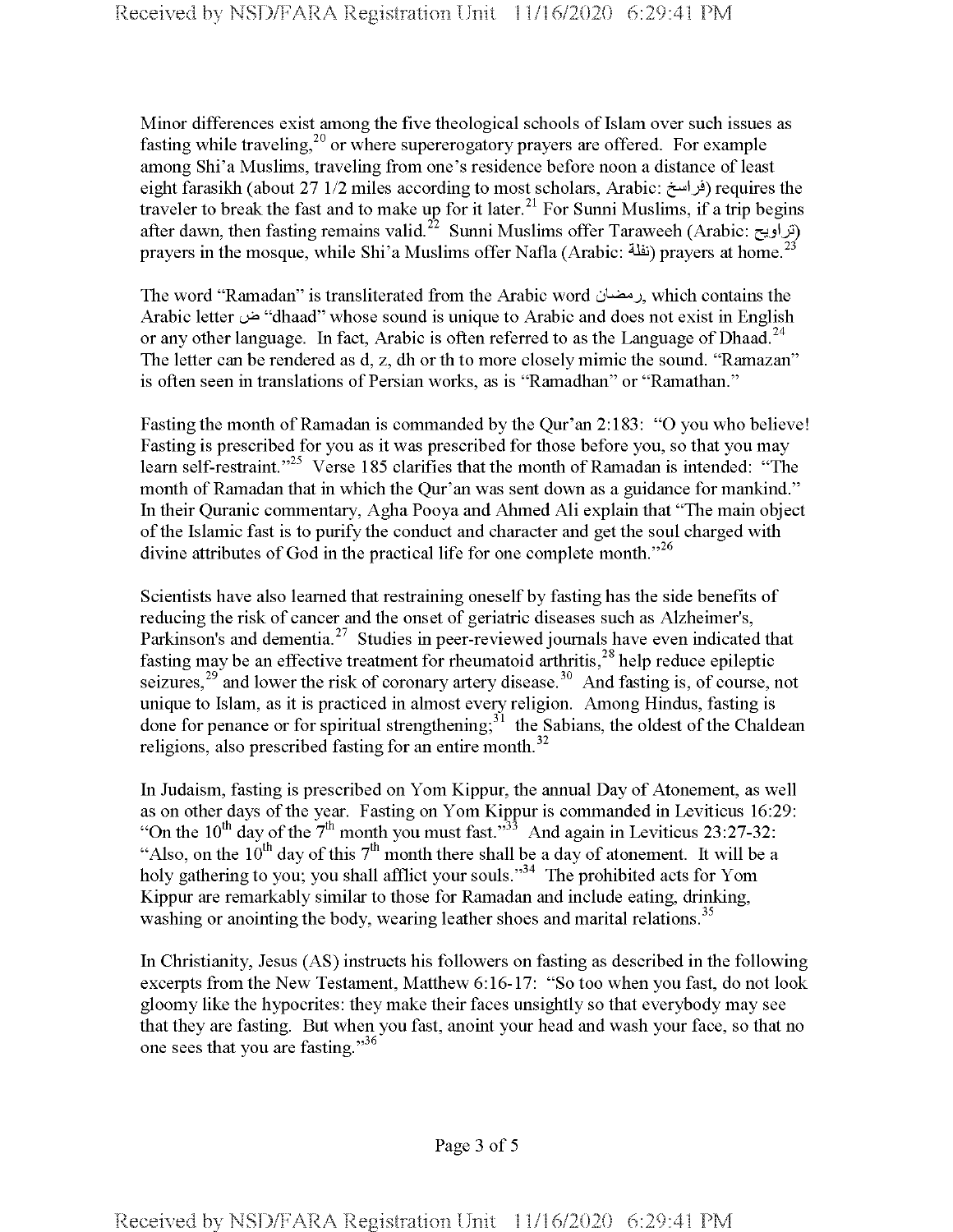Minor differences exist among the five theological schools of Islam over such issues as fasting while traveling,<sup>20</sup> or where supererogatory prayers are offered. For example among Shi'a Muslims, traveling from one's residence before noon a distance of least eight farasikh (about 27 1/2 miles according to most scholars, Arabic: فراسخ) requires the traveler to break the fast and to make up for it later.<sup>21</sup> For Sunni Muslims, if a trip begins after dawn, then fasting remains valid.<sup>22</sup> Sunni Muslims offer Taraweeh (Arabic: تراويح) prayers in the mosque, while Shi'a Muslims offer Nafla (Arabic: <sup> $23$ </sup>) prayers at home.<sup>23</sup>

The word "Ramadan" is transliterated from the Arabic word which contains the Arabic letter <sup>l</sup>A<sup>3</sup> "dhaad" whose sound is unique to Arabic and does not exist in English or any other language. In fact, Arabic is often referred to as the Language of Dhaad.<sup>24</sup> The letter can be rendered as d, z, dh or th to more closely mimic the sound. "Ramazan" is often seen in translations of Persian works, as is "Ramadhan" or "Ramathan."

Fasting the month of Ramadan is commanded by the Qur'an 2:183: "O you who believe! Fasting is prescribed for you as it was prescribed for those before you, so that you may learn self-restraint."<sup>25</sup> Verse 185 clarifies that the month of Ramadan is intended: "The month of Ramadan that in which the Qur'an was sent down as a guidance for mankind." In their Quranic commentary, Agha Pooya and Ahmed Ali explain that "The main object of the Islamic fast is to purify the conduct and character and get the soul charged with divine attributes of God in the practical life for one complete month. $12^6$ 

Scientists have also learned that restraining oneself by fasting has the side benefits of reducing the risk of cancer and the onset of geriatric diseases such as Alzheimer's, Parkinson's and dementia.<sup>27</sup> Studies in peer-reviewed journals have even indicated that fasting may be an effective treatment for rheumatoid arthritis,  $^{28}$  help reduce epileptic seizures,<sup>29</sup> and lower the risk of coronary artery disease.<sup>30</sup> And fasting is, of course, not unique to Islam, as it is practiced in almost every religion. Among Hindus, fasting is done for penance or for spiritual strengthening; $3<sup>1</sup>$  the Sabians, the oldest of the Chaldean religions, also prescribed fasting for an entire month.<sup>32</sup>

In Judaism, fasting is prescribed on Yom Kippur, the annual Day of Atonement, as well as on other days of the year. Fasting on Yom Kippur is commanded in Leviticus 16:29: "On the  $10^{th}$  day of the  $7^{th}$  month you must fast."<sup>33</sup> And again in Leviticus 23:27-32: "Also, on the  $10^{th}$  day of this  $7^{th}$  month there shall be a day of atonement. It will be a holy gathering to you; you shall afflict your souls."<sup>34</sup> The prohibited acts for Yom Kippur are remarkably similar to those for Ramadan and include eating, drinking, washing or anointing the body, wearing leather shoes and marital relations.<sup>35</sup>

In Christianity, Jesus (AS) instructs his followers on fasting as described in the following excerpts from the New Testament, Matthew 6:16-17: "So too when you fast, do not look gloomy like the hypocrites: they make their faces unsightly so that everybody may see that they are fasting. But when you fast, anoint your head and wash your face, so that no one sees that you are fasting."<sup>36</sup>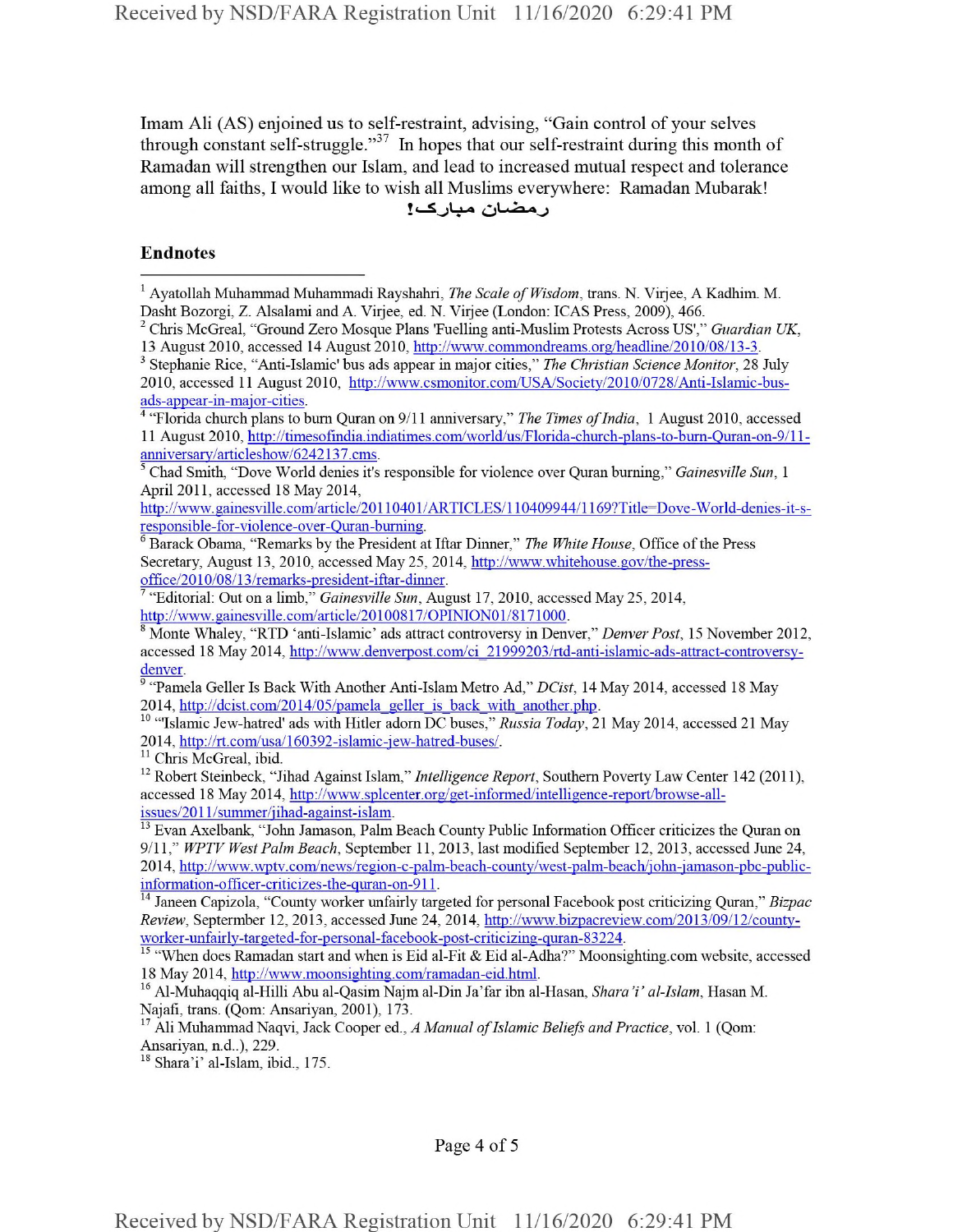Imam Ali (AS) enjoined us to self-restraint, advising, "Gain control of your selves through constant self-struggle."<sup>37</sup> In hopes that our self-restraint during this month of Ramadan will strengthen our Islam, and lead to increased mutual respect and tolerance among all faiths, I would like to wish all Muslims everywhere: Ramadan Mubarak! رمضان مبارك!

## Endnotes

<sup>4</sup> "Florida church plans to burn Quran on 9/11 anniversary," *The Times of India*, 1 August 2010, accessed 11 August 2010, http://timesofindia.indiatimes.eom/world/us/Florida-church-plans-to-burn-Quran-on-9/l 1 anniversary/articleshow/6242137.ems.

http,7/www. gainesville.com/article/20110401/ARTICLES/110409944/1169?Title=Dove-World-denies-it-sresponsible-for-violence-over-Ouran-burning.

<sup>6</sup> Barack Obama, "Remarks by the President at Iftar Dinner," *The White House,* Office ofthe Press Secretary, August 13, 2010, accessed May 25, 2014, http://www.whitehouse.gov/the-pressoffice/2010/08/13/remarks-president-iftar-dinner.

<sup>7</sup> "Editorial: Out on a limb," *Gainesville Sun,* August 17, 2010, accessed May 25, 2014, http://www.gainesville.com/article/20100817/OPINION01/8171000.

<sup>8</sup> Monte Whaley, "RTD 'anti-Islamic' ads attract controversy in Denver," *Denver Post,* 15 November 2012, accessed 18 May 2014, http://www.denverpost.com/ci\_21999203/rtd-anti-islamic-ads-attract-controversydenver.

<sup>9</sup> "Pamela Geller Is Back With Another Anti-Islam Metro Ad," *DCist,* 14 May 2014, accessed 18 May 2014, http://dcist.com/2014/05/pamela\_geller\_is\_back\_with\_another.php.

<sup>10</sup> "Islamic Jew-hatred' ads with Hitler adorn DC buses," *Russia Today*, 21 May 2014, accessed 21 May 2014, http://rt.com/usa/160392-islamic-iew-hatred-buses/.

<sup>11</sup> Chris McGreal, ibid.

<sup>12</sup> Robert Steinbeck, "Jihad Against Islam," *Intelligence Report,* Southern Poverty Law Center 142 (2011), accessed 18 May 2014, http://www.splcenter.org/get-informed/intelligence-report/browse-allissues/201 l/summer/jihad-against-islam.

<sup>13</sup> Evan Axelbank, "John Jamason, Palm Beach County Public Information Officer criticizes the Quran on 9/11," *WPTV West Palm Beach,* September 11, 2013, last modified September 12, 2013, accessed June 24, 2014, http://www.wptv.com/news/region-c-palm-beach-county/west-palm-beach/john-jamason-pbc-publicinformation-officer-criticizes-the-quran-on-911.

<sup>14</sup> Janeen Capizola, "County worker unfairly targeted for personal Facebook post criticizing Quran," *Bizpac Review,* Septermber 12, 2013, accessed June 24, 2014, http://www.bizpacreview.com/2013/09/12/countvworker-unfairlv-targeted-for-personal-facebook-post-criticizing-quran-83224.

<sup>15</sup> "When does Ramadan start and when is Eid al-Fit & Eid al-Adha?" Moonsighting.com website, accessed 18 May 2014, http://www.moonsighting.com/ramadan-eid.html.

<sup>16</sup> Al-Muhaqqiq al-Hilli Abu al-Qasim Najm al-Din Ja'far ibn al-Hasan, *Shara'i' al-Islam*, Hasan M. Najafi, trans. (Qom: Ansariyan, 2001), 173.

<sup>17</sup> Ali Muhammad Naqvi, Jack Cooper ed., *A Manual of Islamic Beliefs and Practice*, vol. 1 (Qom: Ansariyan, n.d..), 229.

<sup>18</sup> Shara'i' al-Islam, ibid., 175.

Page 4 of <sup>5</sup>

<sup>&</sup>lt;sup>1</sup> Ayatollah Muhammad Muhammadi Rayshahri, *The Scale of Wisdom*, trans. N. Virjee, A Kadhim. M. Dasht Bozorgi, Z. Alsalami and A. Virjee, ed. N. Virjee (London: ICAS Press, 2009), 466.

<sup>2</sup> Chris McGreal, "Ground Zero Mosque Plans 'Fuelling anti-Muslim Protests Across US'," *Guardian UK,* 13 August 2010, accessed 14 August 2010, http://www.commondreams.org/headline/2010/08/13-3.

<sup>3</sup> Stephanie Rice, "Anti-Islamic' bus ads appear in major cities," *The Christian Science Monitor,* 28 July 2010, accessed 11 August 2010, http://www.csmonitor.com/USA/Society/2010/0728/Anti-Islamic-busads-appear-in-major-cities.

<sup>5</sup> Chad Smith, "Dove World denies it's responsible for violence over Quran burning," *Gainesville Sun,* <sup>1</sup> April 2011, accessed 18 May 2014,